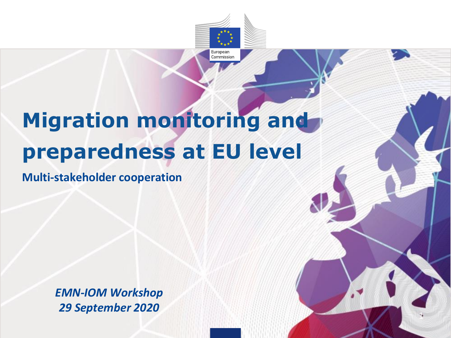

# **Migration monitoring and preparedness at EU level**

**Multi-stakeholder cooperation**

*EMN-IOM Workshop 29 September 2020*

1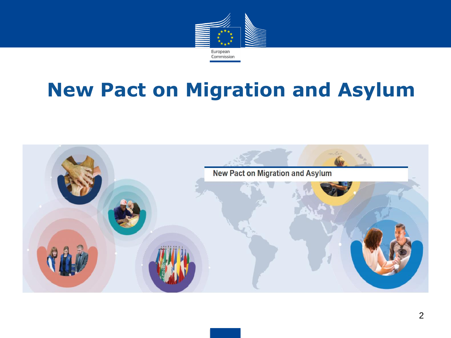

## **New Pact on Migration and Asylum**

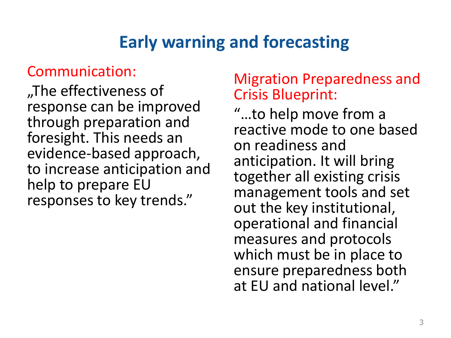## **Early warning and forecasting**

## Communication:

"The effectiveness of response can be improved through preparation and foresight. This needs an evidence-based approach, to increase anticipation and help to prepare EU responses to key trends."

### Migration Preparedness and Crisis Blueprint:

"…to help move from a reactive mode to one based on readiness and anticipation. It will bring together all existing crisis management tools and set out the key institutional, operational and financial measures and protocols which must be in place to ensure preparedness both at EU and national level."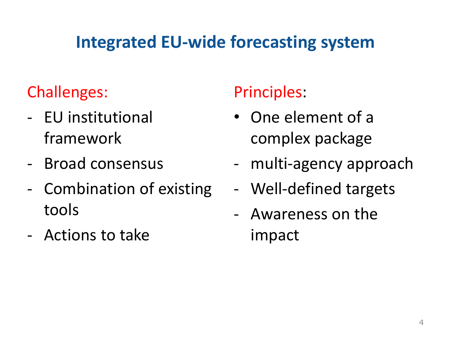## **Integrated EU-wide forecasting system**

## Challenges:

- EU institutional framework
- Broad consensus
- Combination of existing tools
- Actions to take

## Principles:

- One element of a complex package
- multi-agency approach
- Well-defined targets
- Awareness on the impact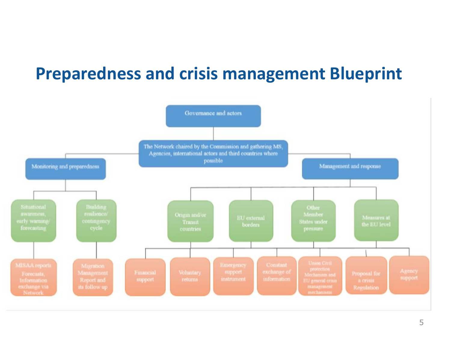## **Preparedness and crisis management Blueprint**

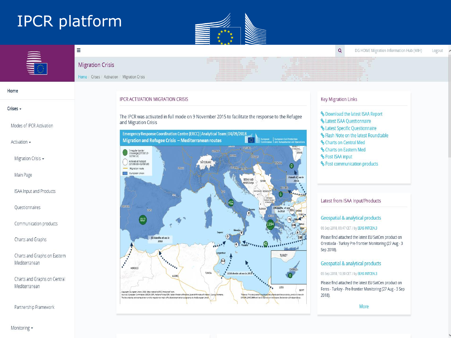## IPCR platform

Ξ





### **Migration Crisis**

Home / Crises / Activation / Migration Crisis

#### Home

#### Crises -

Modes of IPCR Activation

Activation -

Migration Crisis -

Main Page

ISAA Input and Products

Questionnaires

Communication products

Charts and Graphs

Charts and Graphs on Eastern Mediterranean

Charts and Graphs on Central Mediterranean

Partnership Framework

**IPCR ACTIVATION MIGRATION CRISIS** 

The IPCR was activated in full mode on 9 November 2015 to facilitate the response to the Refugee and Migration Crisis



### **Key Migration Links**

**%** Download the latest ISAA Report **%** Latest ISAA Questionnaire **%** Latest Specific Questionnaire **& Flash Note on the latest Roundtable** % Charts on Central Med **%** Charts on Eastern Med **% Post ISAA input** % Post communication products

Latest from ISAA Input/Products

### **Geospatial & analytical products**

06 Sep 2018, 09:47 CET / by EEAS INTCEN.3

Please find attached the latest EU SatCen product on Orestiada - Turkey Pre-frontier Monitoring (27 Aug - 3 Sep 2018).

### **Geospatial & analytical products**

05 Sep 2018, 10:30 CET / by EEAS INTCEN.3

Please find attached the latest EU SatCen product on Feres - Turkey - Pre-frontier Monitoring (27 Aug - 3 Sep 2018).

More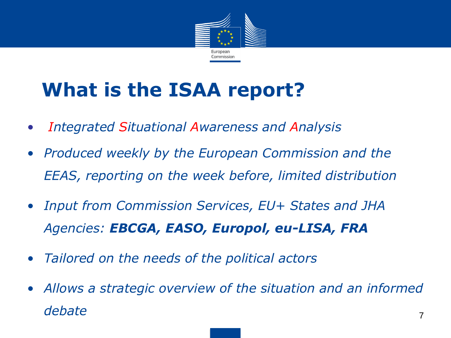

# **What is the ISAA report?**

- *Integrated Situational Awareness and Analysis*
- *Produced weekly by the European Commission and the EEAS, reporting on the week before, limited distribution*
- *Input from Commission Services, EU+ States and JHA Agencies: EBCGA, EASO, Europol, eu-LISA, FRA*
- *Tailored on the needs of the political actors*
- *Allows a strategic overview of the situation and an informed debate* <sup>7</sup>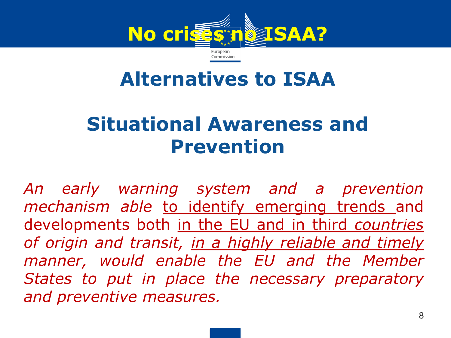

## **Alternatives to ISAA**

# **Situational Awareness and Prevention**

*An early warning system and a prevention mechanism able* to identify emerging trends and developments both in the EU and in third *countries of origin and transit, in a highly reliable and timely manner, would enable the EU and the Member States to put in place the necessary preparatory and preventive measures.*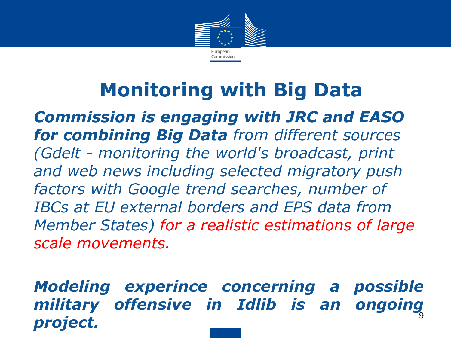

# **Monitoring with Big Data**

• *Commission is engaging with JRC and EASO for combining Big Data from different sources (Gdelt - monitoring the world's broadcast, print and web news including selected migratory push factors with Google trend searches, number of IBCs at EU external borders and EPS data from Member States) for a realistic estimations of large scale movements.* 

• *Modeling experince concerning a possible military offensive in Idlib is an ongoing project.* 9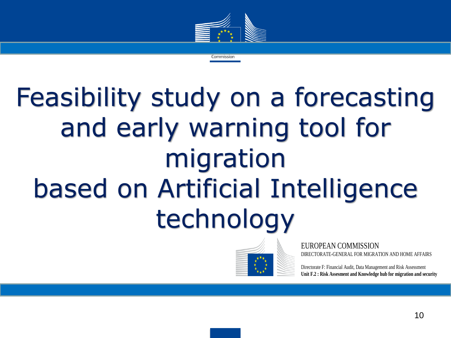

Commission

# Feasibility study on a forecasting and early warning tool for migration based on Artificial Intelligence technology



EUROPEAN COMMISSION DIRECTORATE-GENERAL FOR MIGRATION AND HOME AFFAIRS

Directorate F: Financial Audit, Data Management and Risk Assessment **Unit F.2 : Risk Assesment and Knowledge hub for migration and security**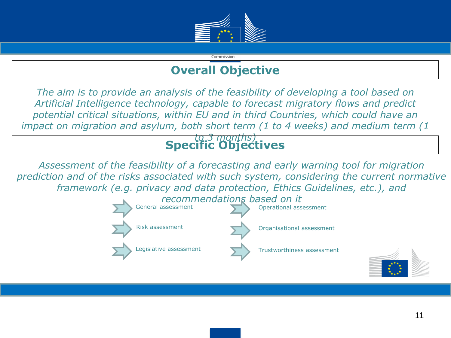

## **Overall Objective**

Commission

*The aim is to provide an analysis of the feasibility of developing a tool based on Artificial Intelligence technology, capable to forecast migratory flows and predict potential critical situations, within EU and in third Countries, which could have an impact on migration and asylum, both short term (1 to 4 weeks) and medium term (1* 

## *to 3 months)* **Specific Objectives**

*Assessment of the feasibility of a forecasting and early warning tool for migration prediction and of the risks associated with such system, considering the current normative framework (e.g. privacy and data protection, Ethics Guidelines, etc.), and* 



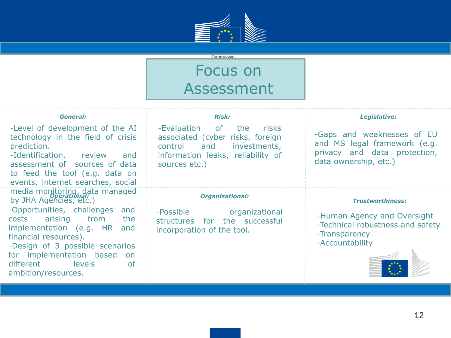

#### Commission

## Focus on Assessment

### *General:*

-Level of development of the AI technology in the field of crisis prediction.

-Identification, review and assessment of sources of data to feed the tool (e.g. data on events, internet searches, social media monitoring, data managed by JHA Agencies, etc.) *Operational:*

-Opportunities, challenges and costs arising from the implementation (e.g. HR and financial resources).

-Design of 3 possible scenarios for implementation based on different levels of ambition/resources.

### *Risk:*

-Evaluation of the risks associated (cyber risks, foreign control and investments, information leaks, reliability of sources etc.)

### *Organisational:*

-Possible organizational structures for the successful incorporation of the tool.

#### *Legislative:*

-Gaps and weaknesses of EU and MS legal framework (e.g. privacy and data protection, data ownership, etc.)

### *Trustworthiness:*

-Human Agency and Oversight -Technical robustness and safety -Transparency -Accountability

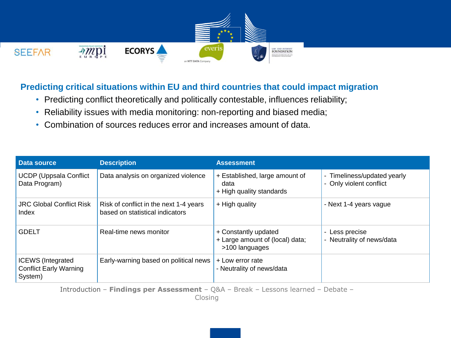

### **Predicting critical situations within EU and third countries that could impact migration**

- Predicting conflict theoretically and politically contestable, influences reliability;
- Reliability issues with media monitoring: non-reporting and biased media;
- Combination of sources reduces error and increases amount of data.

| Data source                                                          | <b>Description</b>                                                        | <b>Assessment</b>                                                         |                                                        |
|----------------------------------------------------------------------|---------------------------------------------------------------------------|---------------------------------------------------------------------------|--------------------------------------------------------|
| <b>UCDP (Uppsala Conflict</b><br>Data Program)                       | Data analysis on organized violence                                       | + Established, large amount of<br>data<br>+ High quality standards        | - Timeliness/updated yearly<br>- Only violent conflict |
| <b>JRC Global Conflict Risk</b><br>Index                             | Risk of conflict in the next 1-4 years<br>based on statistical indicators | + High quality                                                            | - Next 1-4 years vague                                 |
| <b>GDELT</b>                                                         | Real-time news monitor                                                    | + Constantly updated<br>+ Large amount of (local) data;<br>>100 languages | - Less precise<br>- Neutrality of news/data            |
| <b>ICEWS</b> (Integrated<br><b>Conflict Early Warning</b><br>System) | Early-warning based on political news                                     | + Low error rate<br>- Neutrality of news/data                             |                                                        |

Introduction – **Findings per Assessment** – Q&A – Break – Lessons learned – Debate –

Closing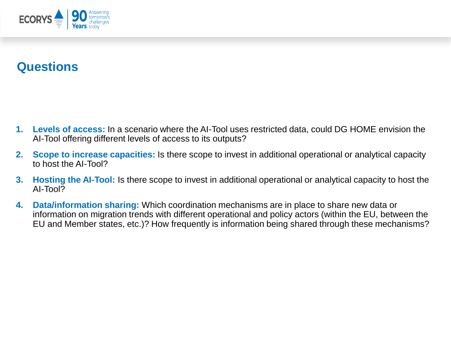

### **Questions**

- **1. Levels of access:** In a scenario where the AI-Tool uses restricted data, could DG HOME envision the AI-Tool offering different levels of access to its outputs?
- **2. Scope to increase capacities:** Is there scope to invest in additional operational or analytical capacity to host the AI-Tool?
- **3. Hosting the AI-Tool:** Is there scope to invest in additional operational or analytical capacity to host the AI-Tool?
- **4. Data/information sharing:** Which coordination mechanisms are in place to share new data or information on migration trends with different operational and policy actors (within the EU, between the EU and Member states, etc.)? How frequently is information being shared through these mechanisms?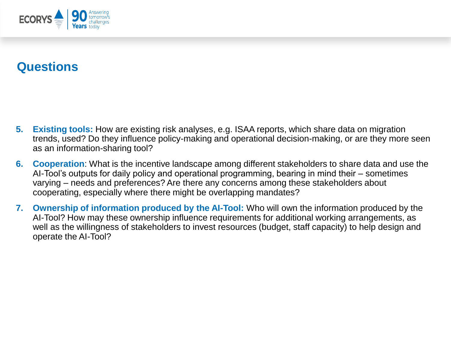

### **Questions**

- **5. Existing tools:** How are existing risk analyses, e.g. ISAA reports, which share data on migration trends, used? Do they influence policy-making and operational decision-making, or are they more seen as an information-sharing tool?
- **6. Cooperation**: What is the incentive landscape among different stakeholders to share data and use the AI-Tool's outputs for daily policy and operational programming, bearing in mind their – sometimes varying – needs and preferences? Are there any concerns among these stakeholders about cooperating, especially where there might be overlapping mandates?
- **7. Ownership of information produced by the AI-Tool:** Who will own the information produced by the AI-Tool? How may these ownership influence requirements for additional working arrangements, as well as the willingness of stakeholders to invest resources (budget, staff capacity) to help design and operate the AI-Tool?